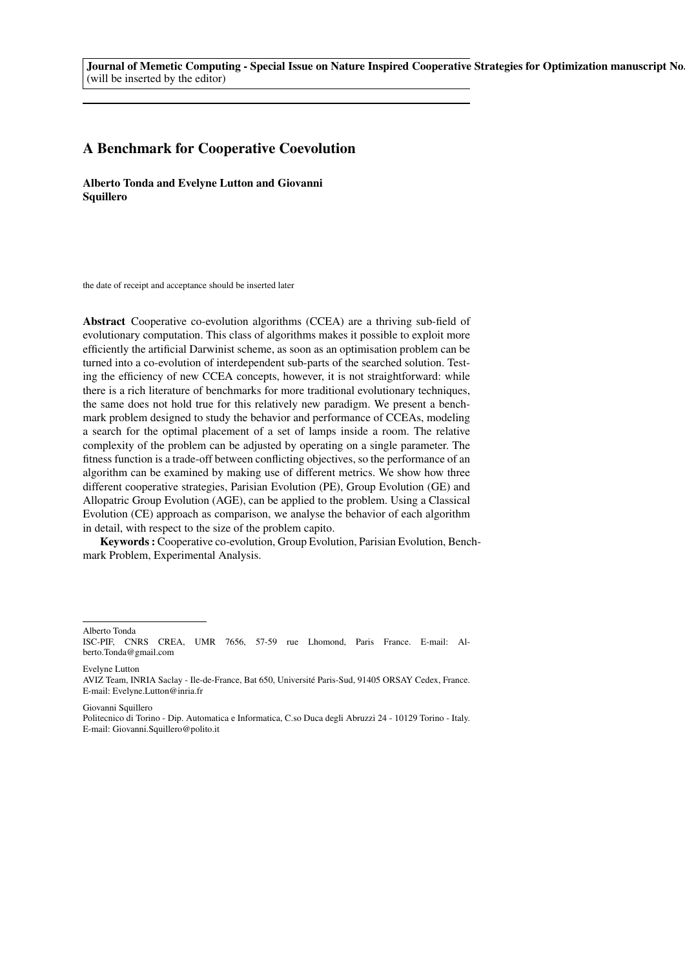Journal of Memetic Computing - Special Issue on Nature Inspired Cooperative Strategies for Optimization manuscript No. (will be inserted by the editor)

# A Benchmark for Cooperative Coevolution

Alberto Tonda and Evelyne Lutton and Giovanni Squillero

the date of receipt and acceptance should be inserted later

Abstract Cooperative co-evolution algorithms (CCEA) are a thriving sub-field of evolutionary computation. This class of algorithms makes it possible to exploit more efficiently the artificial Darwinist scheme, as soon as an optimisation problem can be turned into a co-evolution of interdependent sub-parts of the searched solution. Testing the efficiency of new CCEA concepts, however, it is not straightforward: while there is a rich literature of benchmarks for more traditional evolutionary techniques, the same does not hold true for this relatively new paradigm. We present a benchmark problem designed to study the behavior and performance of CCEAs, modeling a search for the optimal placement of a set of lamps inside a room. The relative complexity of the problem can be adjusted by operating on a single parameter. The fitness function is a trade-off between conflicting objectives, so the performance of an algorithm can be examined by making use of different metrics. We show how three different cooperative strategies, Parisian Evolution (PE), Group Evolution (GE) and Allopatric Group Evolution (AGE), can be applied to the problem. Using a Classical Evolution (CE) approach as comparison, we analyse the behavior of each algorithm in detail, with respect to the size of the problem capito.

Keywords : Cooperative co-evolution, Group Evolution, Parisian Evolution, Benchmark Problem, Experimental Analysis.

Alberto Tonda

Evelyne Lutton

Giovanni Squillero

ISC-PIF, CNRS CREA, UMR 7656, 57-59 rue Lhomond, Paris France. E-mail: Alberto.Tonda@gmail.com

AVIZ Team, INRIA Saclay - Ile-de-France, Bat 650, Universite Paris-Sud, 91405 ORSAY Cedex, France. ´ E-mail: Evelyne.Lutton@inria.fr

Politecnico di Torino - Dip. Automatica e Informatica, C.so Duca degli Abruzzi 24 - 10129 Torino - Italy. E-mail: Giovanni.Squillero@polito.it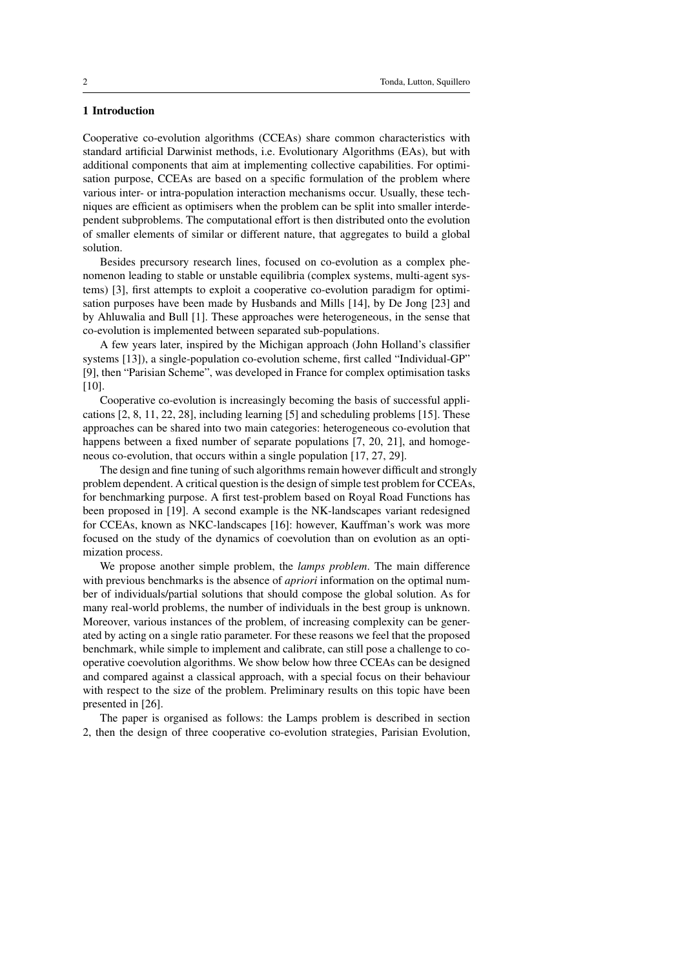# 1 Introduction

Cooperative co-evolution algorithms (CCEAs) share common characteristics with standard artificial Darwinist methods, i.e. Evolutionary Algorithms (EAs), but with additional components that aim at implementing collective capabilities. For optimisation purpose, CCEAs are based on a specific formulation of the problem where various inter- or intra-population interaction mechanisms occur. Usually, these techniques are efficient as optimisers when the problem can be split into smaller interdependent subproblems. The computational effort is then distributed onto the evolution of smaller elements of similar or different nature, that aggregates to build a global solution.

Besides precursory research lines, focused on co-evolution as a complex phenomenon leading to stable or unstable equilibria (complex systems, multi-agent systems) [3], first attempts to exploit a cooperative co-evolution paradigm for optimisation purposes have been made by Husbands and Mills [14], by De Jong [23] and by Ahluwalia and Bull [1]. These approaches were heterogeneous, in the sense that co-evolution is implemented between separated sub-populations.

A few years later, inspired by the Michigan approach (John Holland's classifier systems [13]), a single-population co-evolution scheme, first called "Individual-GP" [9], then "Parisian Scheme", was developed in France for complex optimisation tasks [10].

Cooperative co-evolution is increasingly becoming the basis of successful applications [2, 8, 11, 22, 28], including learning [5] and scheduling problems [15]. These approaches can be shared into two main categories: heterogeneous co-evolution that happens between a fixed number of separate populations [7, 20, 21], and homogeneous co-evolution, that occurs within a single population [17, 27, 29].

The design and fine tuning of such algorithms remain however difficult and strongly problem dependent. A critical question is the design of simple test problem for CCEAs, for benchmarking purpose. A first test-problem based on Royal Road Functions has been proposed in [19]. A second example is the NK-landscapes variant redesigned for CCEAs, known as NKC-landscapes [16]: however, Kauffman's work was more focused on the study of the dynamics of coevolution than on evolution as an optimization process.

We propose another simple problem, the *lamps problem*. The main difference with previous benchmarks is the absence of *apriori* information on the optimal number of individuals/partial solutions that should compose the global solution. As for many real-world problems, the number of individuals in the best group is unknown. Moreover, various instances of the problem, of increasing complexity can be generated by acting on a single ratio parameter. For these reasons we feel that the proposed benchmark, while simple to implement and calibrate, can still pose a challenge to cooperative coevolution algorithms. We show below how three CCEAs can be designed and compared against a classical approach, with a special focus on their behaviour with respect to the size of the problem. Preliminary results on this topic have been presented in [26].

The paper is organised as follows: the Lamps problem is described in section 2, then the design of three cooperative co-evolution strategies, Parisian Evolution,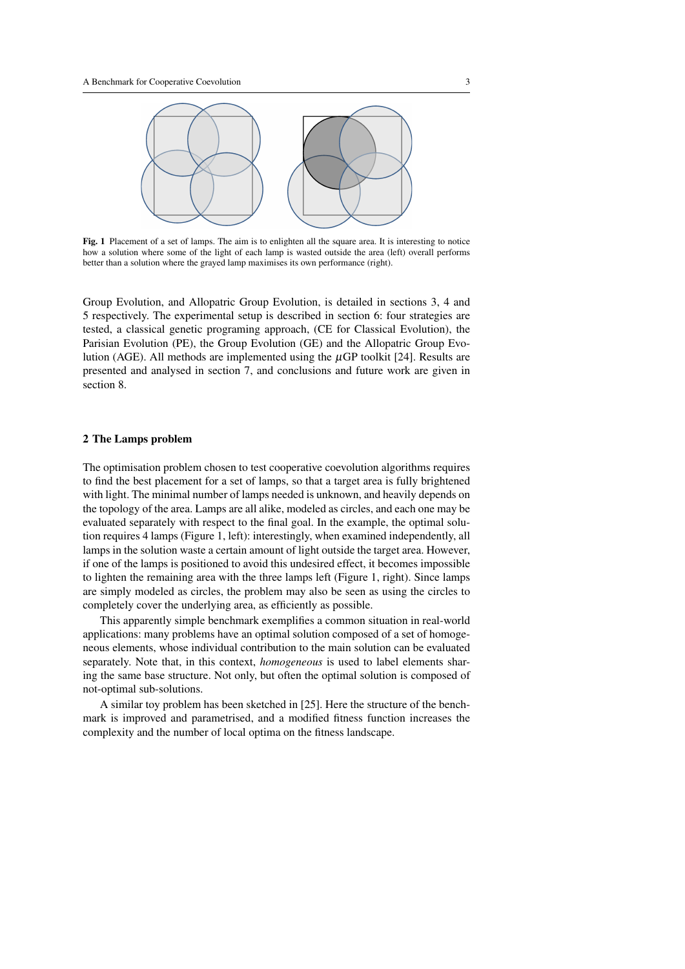

Fig. 1 Placement of a set of lamps. The aim is to enlighten all the square area. It is interesting to notice how a solution where some of the light of each lamp is wasted outside the area (left) overall performs better than a solution where the grayed lamp maximises its own performance (right).

Group Evolution, and Allopatric Group Evolution, is detailed in sections 3, 4 and 5 respectively. The experimental setup is described in section 6: four strategies are tested, a classical genetic programing approach, (CE for Classical Evolution), the Parisian Evolution (PE), the Group Evolution (GE) and the Allopatric Group Evolution (AGE). All methods are implemented using the  $\mu$ GP toolkit [24]. Results are presented and analysed in section 7, and conclusions and future work are given in section 8.

### 2 The Lamps problem

The optimisation problem chosen to test cooperative coevolution algorithms requires to find the best placement for a set of lamps, so that a target area is fully brightened with light. The minimal number of lamps needed is unknown, and heavily depends on the topology of the area. Lamps are all alike, modeled as circles, and each one may be evaluated separately with respect to the final goal. In the example, the optimal solution requires 4 lamps (Figure 1, left): interestingly, when examined independently, all lamps in the solution waste a certain amount of light outside the target area. However, if one of the lamps is positioned to avoid this undesired effect, it becomes impossible to lighten the remaining area with the three lamps left (Figure 1, right). Since lamps are simply modeled as circles, the problem may also be seen as using the circles to completely cover the underlying area, as efficiently as possible.

This apparently simple benchmark exemplifies a common situation in real-world applications: many problems have an optimal solution composed of a set of homogeneous elements, whose individual contribution to the main solution can be evaluated separately. Note that, in this context, *homogeneous* is used to label elements sharing the same base structure. Not only, but often the optimal solution is composed of not-optimal sub-solutions.

A similar toy problem has been sketched in [25]. Here the structure of the benchmark is improved and parametrised, and a modified fitness function increases the complexity and the number of local optima on the fitness landscape.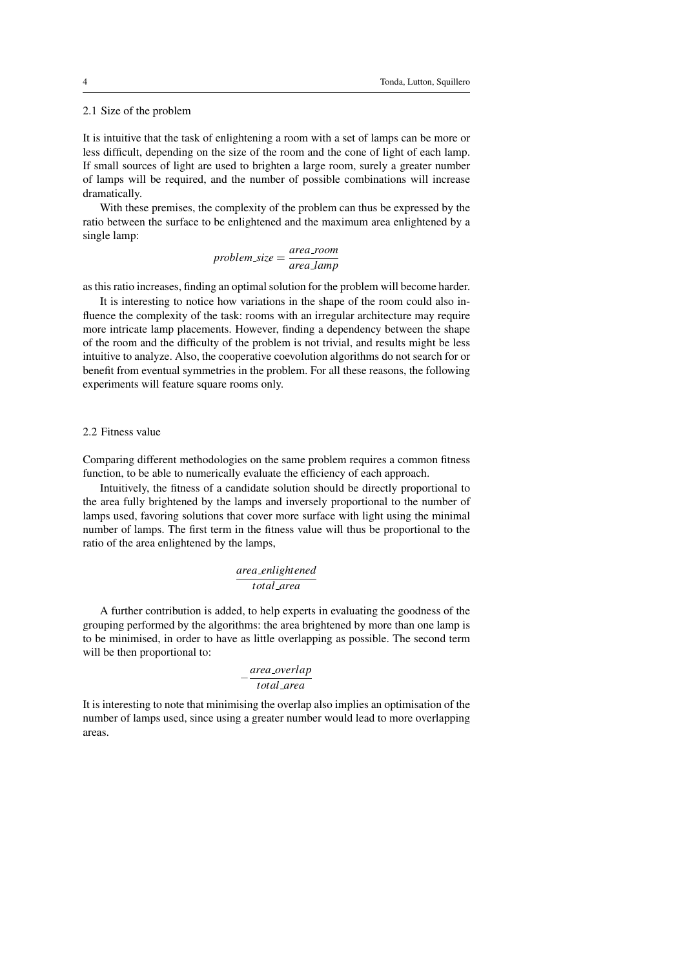# 2.1 Size of the problem

It is intuitive that the task of enlightening a room with a set of lamps can be more or less difficult, depending on the size of the room and the cone of light of each lamp. If small sources of light are used to brighten a large room, surely a greater number of lamps will be required, and the number of possible combinations will increase dramatically.

With these premises, the complexity of the problem can thus be expressed by the ratio between the surface to be enlightened and the maximum area enlightened by a single lamp:

$$
problem\_size = \frac{area\_room}{area\_lamp}
$$

as this ratio increases, finding an optimal solution for the problem will become harder.

It is interesting to notice how variations in the shape of the room could also influence the complexity of the task: rooms with an irregular architecture may require more intricate lamp placements. However, finding a dependency between the shape of the room and the difficulty of the problem is not trivial, and results might be less intuitive to analyze. Also, the cooperative coevolution algorithms do not search for or benefit from eventual symmetries in the problem. For all these reasons, the following experiments will feature square rooms only.

### 2.2 Fitness value

Comparing different methodologies on the same problem requires a common fitness function, to be able to numerically evaluate the efficiency of each approach.

Intuitively, the fitness of a candidate solution should be directly proportional to the area fully brightened by the lamps and inversely proportional to the number of lamps used, favoring solutions that cover more surface with light using the minimal number of lamps. The first term in the fitness value will thus be proportional to the ratio of the area enlightened by the lamps,

$$
\frac{area\_enlightened}{total\_area}
$$

A further contribution is added, to help experts in evaluating the goodness of the grouping performed by the algorithms: the area brightened by more than one lamp is to be minimised, in order to have as little overlapping as possible. The second term will be then proportional to:

$$
-\frac{area\_overlap}{total\_area}
$$

It is interesting to note that minimising the overlap also implies an optimisation of the number of lamps used, since using a greater number would lead to more overlapping areas.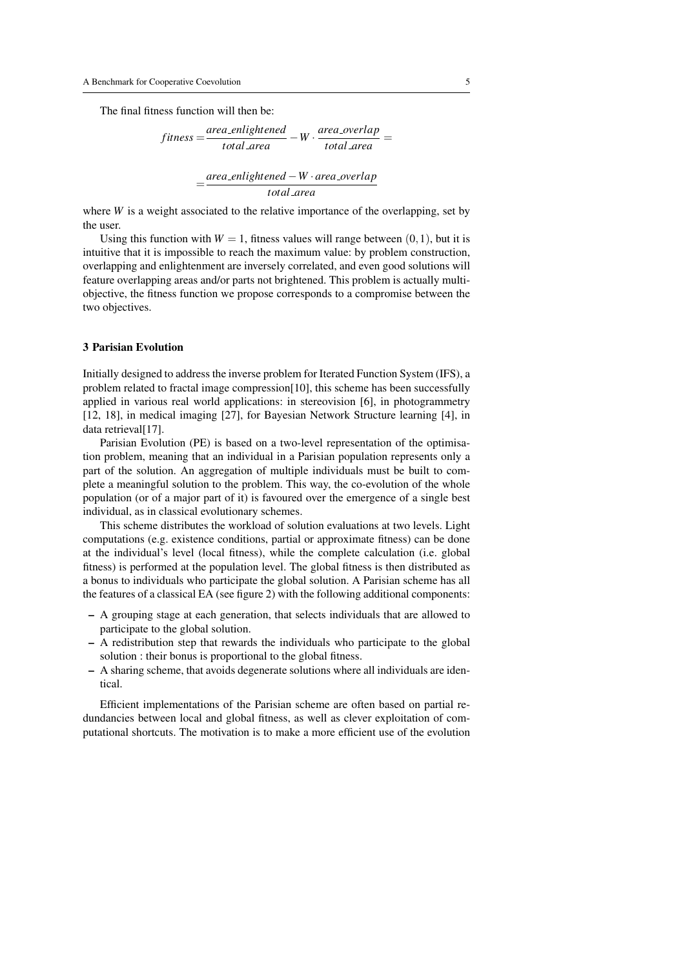The final fitness function will then be:

$$
fitness = \frac{area\_enlightened}{total\_area} - W \cdot \frac{area\_overlap}{total\_area} = \frac{area\_enlightened - W \cdot area\_overlap}{total\_area}
$$

where *W* is a weight associated to the relative importance of the overlapping, set by the user.

Using this function with  $W = 1$ , fitness values will range between  $(0,1)$ , but it is intuitive that it is impossible to reach the maximum value: by problem construction, overlapping and enlightenment are inversely correlated, and even good solutions will feature overlapping areas and/or parts not brightened. This problem is actually multiobjective, the fitness function we propose corresponds to a compromise between the two objectives.

### 3 Parisian Evolution

Initially designed to address the inverse problem for Iterated Function System (IFS), a problem related to fractal image compression[10], this scheme has been successfully applied in various real world applications: in stereovision [6], in photogrammetry [12, 18], in medical imaging [27], for Bayesian Network Structure learning [4], in data retrieval[17].

Parisian Evolution (PE) is based on a two-level representation of the optimisation problem, meaning that an individual in a Parisian population represents only a part of the solution. An aggregation of multiple individuals must be built to complete a meaningful solution to the problem. This way, the co-evolution of the whole population (or of a major part of it) is favoured over the emergence of a single best individual, as in classical evolutionary schemes.

This scheme distributes the workload of solution evaluations at two levels. Light computations (e.g. existence conditions, partial or approximate fitness) can be done at the individual's level (local fitness), while the complete calculation (i.e. global fitness) is performed at the population level. The global fitness is then distributed as a bonus to individuals who participate the global solution. A Parisian scheme has all the features of a classical EA (see figure 2) with the following additional components:

- A grouping stage at each generation, that selects individuals that are allowed to participate to the global solution.
- A redistribution step that rewards the individuals who participate to the global solution : their bonus is proportional to the global fitness.
- A sharing scheme, that avoids degenerate solutions where all individuals are identical.

Efficient implementations of the Parisian scheme are often based on partial redundancies between local and global fitness, as well as clever exploitation of computational shortcuts. The motivation is to make a more efficient use of the evolution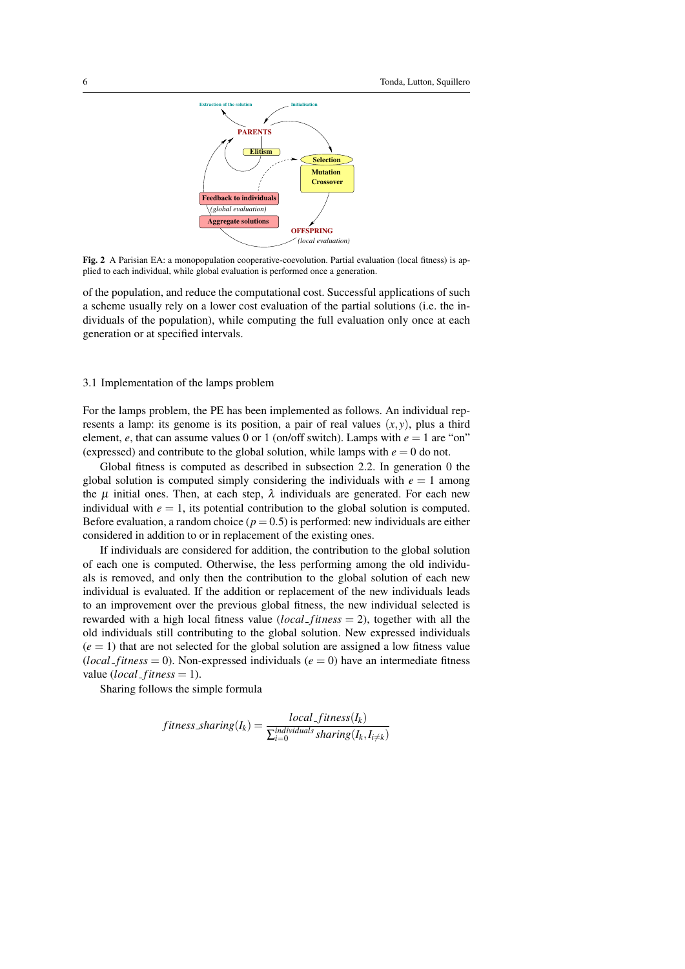

Fig. 2 A Parisian EA: a monopopulation cooperative-coevolution. Partial evaluation (local fitness) is applied to each individual, while global evaluation is performed once a generation.

of the population, and reduce the computational cost. Successful applications of such a scheme usually rely on a lower cost evaluation of the partial solutions (i.e. the individuals of the population), while computing the full evaluation only once at each generation or at specified intervals.

#### 3.1 Implementation of the lamps problem

For the lamps problem, the PE has been implemented as follows. An individual represents a lamp: its genome is its position, a pair of real values  $(x, y)$ , plus a third element, *e*, that can assume values 0 or 1 (on/off switch). Lamps with  $e = 1$  are "on" (expressed) and contribute to the global solution, while lamps with  $e = 0$  do not.

Global fitness is computed as described in subsection 2.2. In generation 0 the global solution is computed simply considering the individuals with  $e = 1$  among the  $\mu$  initial ones. Then, at each step,  $\lambda$  individuals are generated. For each new individual with  $e = 1$ , its potential contribution to the global solution is computed. Before evaluation, a random choice  $(p = 0.5)$  is performed: new individuals are either considered in addition to or in replacement of the existing ones.

If individuals are considered for addition, the contribution to the global solution of each one is computed. Otherwise, the less performing among the old individuals is removed, and only then the contribution to the global solution of each new individual is evaluated. If the addition or replacement of the new individuals leads to an improvement over the previous global fitness, the new individual selected is rewarded with a high local fitness value (*local fitness* = 2), together with all the old individuals still contributing to the global solution. New expressed individuals  $(e = 1)$  that are not selected for the global solution are assigned a low fitness value  $$ value *.* 

Sharing follows the simple formula

$$
fitness\_sharing(I_k) = \frac{local\_fitness(I_k)}{\sum_{i=0}^{individuals} sharing(I_k, I_{i \neq k})}
$$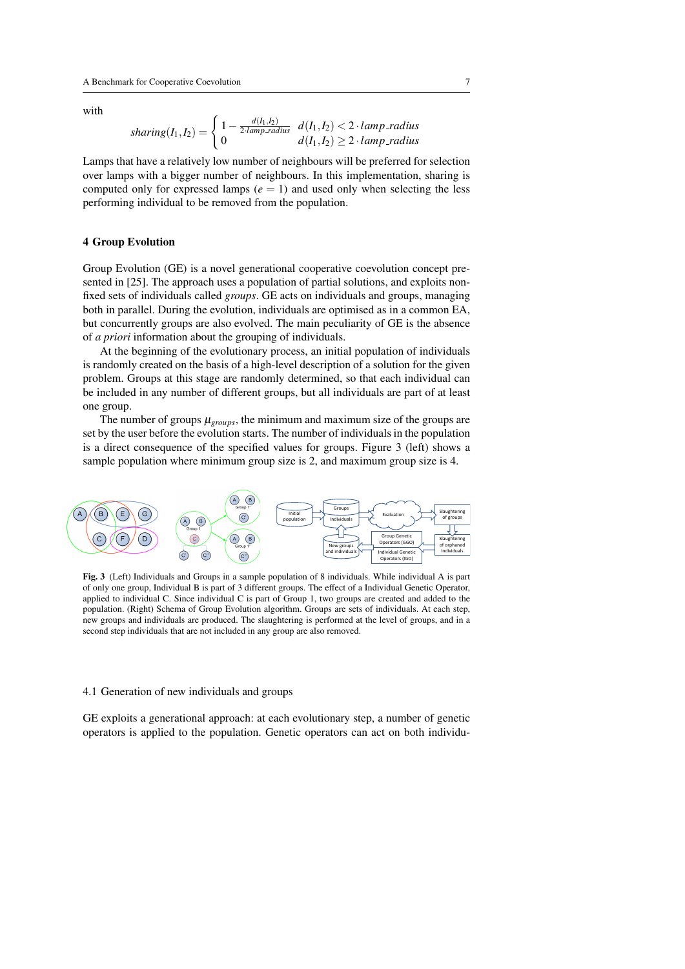with

$$
sharing(I_1, I_2) = \begin{cases} 1 - \frac{d(I_1, I_2)}{2 \cdot lamp\_radius} & d(I_1, I_2) < 2 \cdot lamp\_radius \\ 0 & d(I_1, I_2) \ge 2 \cdot lamp\_radius \end{cases}
$$

Lamps that have a relatively low number of neighbours will be preferred for selection over lamps with a bigger number of neighbours. In this implementation, sharing is computed only for expressed lamps ( $e = 1$ ) and used only when selecting the less performing individual to be removed from the population.

## 4 Group Evolution

Group Evolution (GE) is a novel generational cooperative coevolution concept presented in [25]. The approach uses a population of partial solutions, and exploits nonfixed sets of individuals called *groups*. GE acts on individuals and groups, managing both in parallel. During the evolution, individuals are optimised as in a common EA, but concurrently groups are also evolved. The main peculiarity of GE is the absence of *a priori* information about the grouping of individuals.

At the beginning of the evolutionary process, an initial population of individuals is randomly created on the basis of a high-level description of a solution for the given problem. Groups at this stage are randomly determined, so that each individual can be included in any number of different groups, but all individuals are part of at least one group.

The number of groups  $\mu_{groups}$ , the minimum and maximum size of the groups are set by the user before the evolution starts. The number of individuals in the population is a direct consequence of the specified values for groups. Figure 3 (left) shows a sample population where minimum group size is 2, and maximum group size is 4.



Fig. 3 (Left) Individuals and Groups in a sample population of 8 individuals. While individual A is part of only one group, Individual B is part of 3 different groups. The effect of a Individual Genetic Operator, applied to individual C. Since individual C is part of Group 1, two groups are created and added to the population. (Right) Schema of Group Evolution algorithm. Groups are sets of individuals. At each step, new groups and individuals are produced. The slaughtering is performed at the level of groups, and in a second step individuals that are not included in any group are also removed.

#### 4.1 Generation of new individuals and groups

GE exploits a generational approach: at each evolutionary step, a number of genetic operators is applied to the population. Genetic operators can act on both individu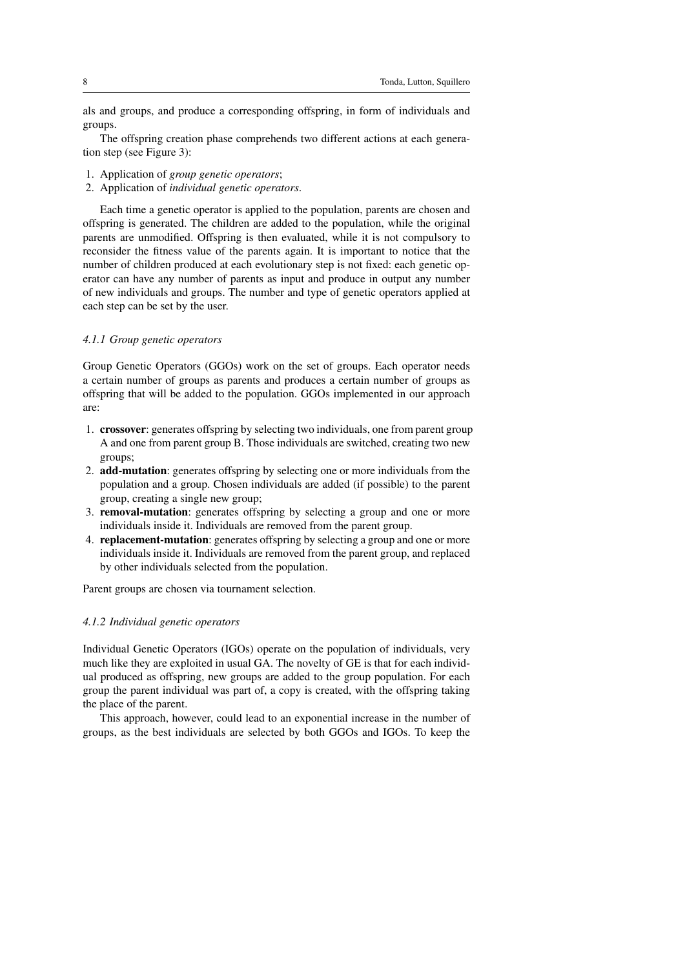als and groups, and produce a corresponding offspring, in form of individuals and groups.

The offspring creation phase comprehends two different actions at each generation step (see Figure 3):

- 1. Application of *group genetic operators*;
- 2. Application of *individual genetic operators*.

Each time a genetic operator is applied to the population, parents are chosen and offspring is generated. The children are added to the population, while the original parents are unmodified. Offspring is then evaluated, while it is not compulsory to reconsider the fitness value of the parents again. It is important to notice that the number of children produced at each evolutionary step is not fixed: each genetic operator can have any number of parents as input and produce in output any number of new individuals and groups. The number and type of genetic operators applied at each step can be set by the user.

### *4.1.1 Group genetic operators*

Group Genetic Operators (GGOs) work on the set of groups. Each operator needs a certain number of groups as parents and produces a certain number of groups as offspring that will be added to the population. GGOs implemented in our approach are:

- 1. crossover: generates offspring by selecting two individuals, one from parent group A and one from parent group B. Those individuals are switched, creating two new groups;
- 2. add-mutation: generates offspring by selecting one or more individuals from the population and a group. Chosen individuals are added (if possible) to the parent group, creating a single new group;
- 3. removal-mutation: generates offspring by selecting a group and one or more individuals inside it. Individuals are removed from the parent group.
- 4. replacement-mutation: generates offspring by selecting a group and one or more individuals inside it. Individuals are removed from the parent group, and replaced by other individuals selected from the population.

Parent groups are chosen via tournament selection.

### *4.1.2 Individual genetic operators*

Individual Genetic Operators (IGOs) operate on the population of individuals, very much like they are exploited in usual GA. The novelty of GE is that for each individual produced as offspring, new groups are added to the group population. For each group the parent individual was part of, a copy is created, with the offspring taking the place of the parent.

This approach, however, could lead to an exponential increase in the number of groups, as the best individuals are selected by both GGOs and IGOs. To keep the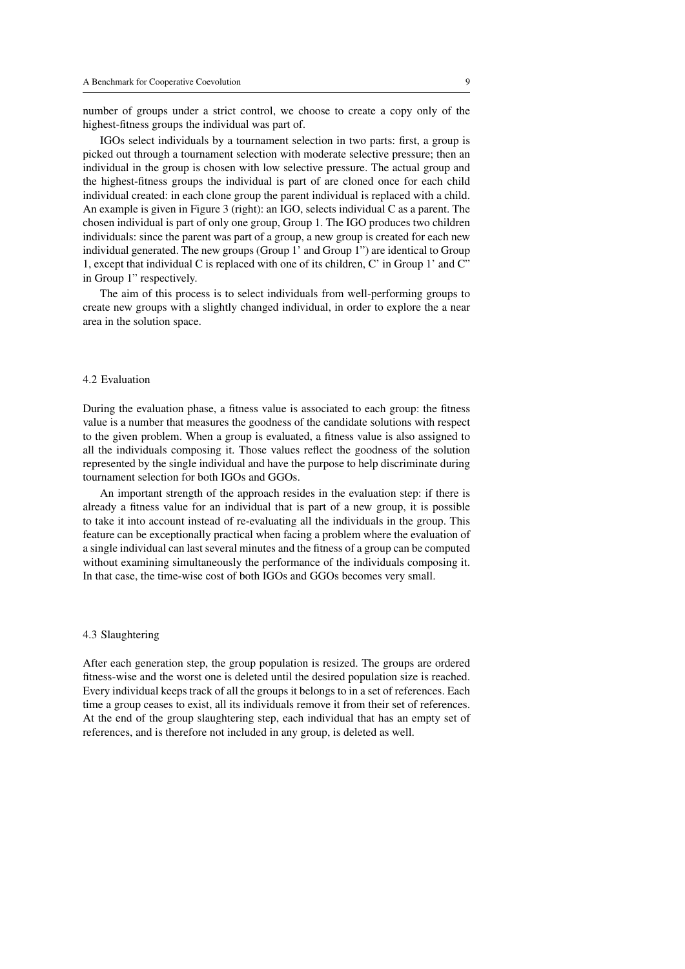number of groups under a strict control, we choose to create a copy only of the highest-fitness groups the individual was part of.

IGOs select individuals by a tournament selection in two parts: first, a group is picked out through a tournament selection with moderate selective pressure; then an individual in the group is chosen with low selective pressure. The actual group and the highest-fitness groups the individual is part of are cloned once for each child individual created: in each clone group the parent individual is replaced with a child. An example is given in Figure 3 (right): an IGO, selects individual C as a parent. The chosen individual is part of only one group, Group 1. The IGO produces two children individuals: since the parent was part of a group, a new group is created for each new individual generated. The new groups (Group 1' and Group 1") are identical to Group 1, except that individual C is replaced with one of its children, C' in Group 1' and C" in Group 1" respectively.

The aim of this process is to select individuals from well-performing groups to create new groups with a slightly changed individual, in order to explore the a near area in the solution space.

#### 4.2 Evaluation

During the evaluation phase, a fitness value is associated to each group: the fitness value is a number that measures the goodness of the candidate solutions with respect to the given problem. When a group is evaluated, a fitness value is also assigned to all the individuals composing it. Those values reflect the goodness of the solution represented by the single individual and have the purpose to help discriminate during tournament selection for both IGOs and GGOs.

An important strength of the approach resides in the evaluation step: if there is already a fitness value for an individual that is part of a new group, it is possible to take it into account instead of re-evaluating all the individuals in the group. This feature can be exceptionally practical when facing a problem where the evaluation of a single individual can last several minutes and the fitness of a group can be computed without examining simultaneously the performance of the individuals composing it. In that case, the time-wise cost of both IGOs and GGOs becomes very small.

### 4.3 Slaughtering

After each generation step, the group population is resized. The groups are ordered fitness-wise and the worst one is deleted until the desired population size is reached. Every individual keeps track of all the groups it belongs to in a set of references. Each time a group ceases to exist, all its individuals remove it from their set of references. At the end of the group slaughtering step, each individual that has an empty set of references, and is therefore not included in any group, is deleted as well.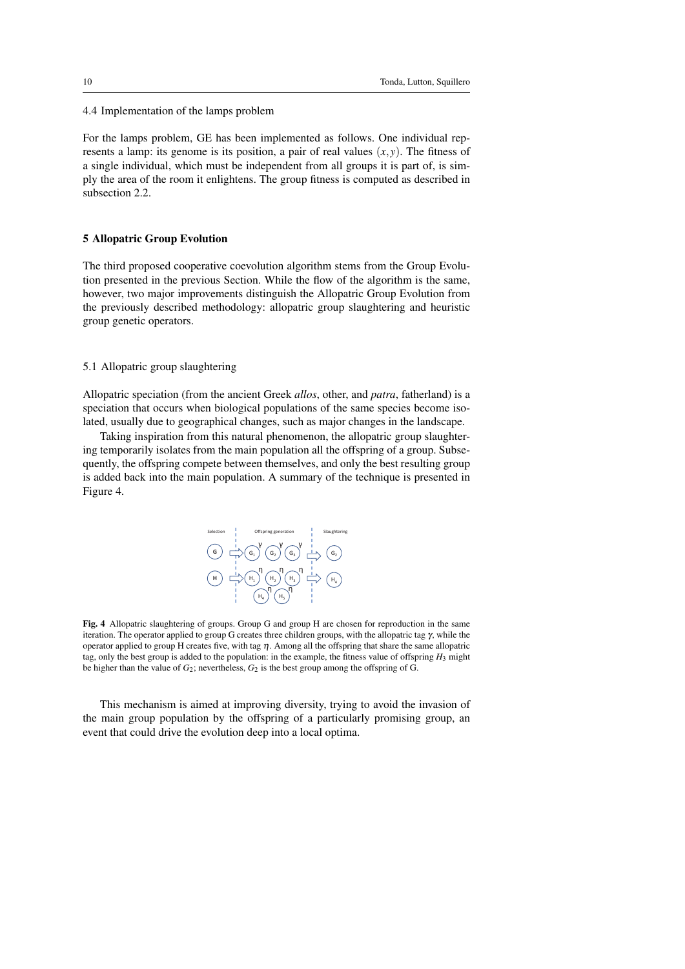4.4 Implementation of the lamps problem

For the lamps problem, GE has been implemented as follows. One individual represents a lamp: its genome is its position, a pair of real values  $(x, y)$ . The fitness of a single individual, which must be independent from all groups it is part of, is simply the area of the room it enlightens. The group fitness is computed as described in subsection 2.2.

### 5 Allopatric Group Evolution

The third proposed cooperative coevolution algorithm stems from the Group Evolution presented in the previous Section. While the flow of the algorithm is the same, however, two major improvements distinguish the Allopatric Group Evolution from the previously described methodology: allopatric group slaughtering and heuristic group genetic operators.

### 5.1 Allopatric group slaughtering

Allopatric speciation (from the ancient Greek *allos*, other, and *patra*, fatherland) is a speciation that occurs when biological populations of the same species become isolated, usually due to geographical changes, such as major changes in the landscape.

Taking inspiration from this natural phenomenon, the allopatric group slaughtering temporarily isolates from the main population all the offspring of a group. Subsequently, the offspring compete between themselves, and only the best resulting group is added back into the main population. A summary of the technique is presented in Figure 4.



Fig. 4 Allopatric slaughtering of groups. Group G and group H are chosen for reproduction in the same iteration. The operator applied to group G creates three children groups, with the allopatric tag γ, while the operator applied to group H creates five, with tag η. Among all the offspring that share the same allopatric tag, only the best group is added to the population: in the example, the fitness value of offspring *H*<sup>3</sup> might be higher than the value of *G*2; nevertheless, *G*<sup>2</sup> is the best group among the offspring of G.

This mechanism is aimed at improving diversity, trying to avoid the invasion of the main group population by the offspring of a particularly promising group, an event that could drive the evolution deep into a local optima.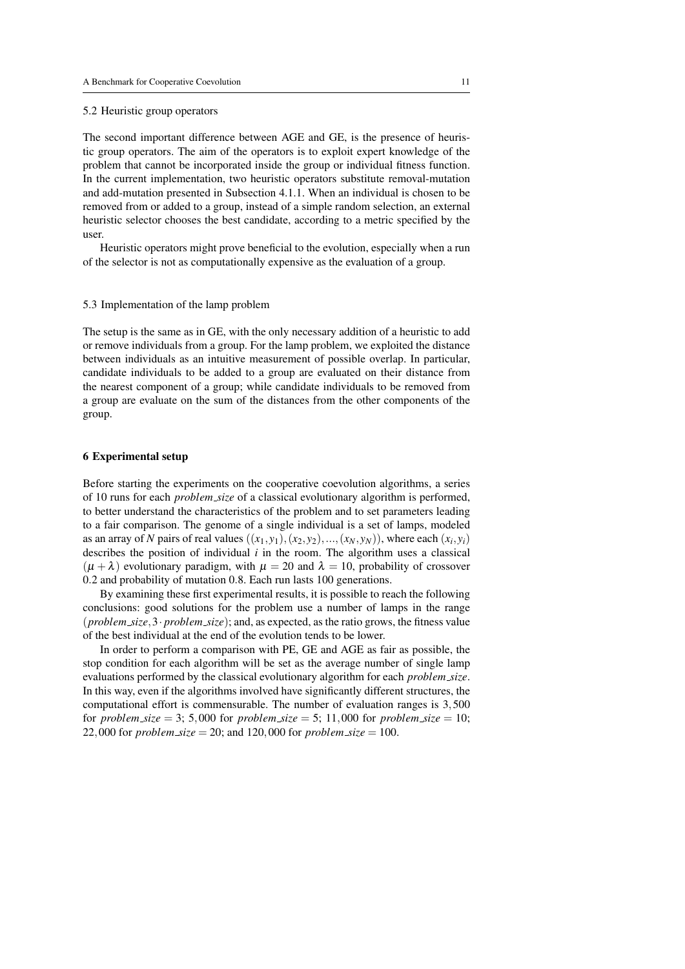#### 5.2 Heuristic group operators

The second important difference between AGE and GE, is the presence of heuristic group operators. The aim of the operators is to exploit expert knowledge of the problem that cannot be incorporated inside the group or individual fitness function. In the current implementation, two heuristic operators substitute removal-mutation and add-mutation presented in Subsection 4.1.1. When an individual is chosen to be removed from or added to a group, instead of a simple random selection, an external heuristic selector chooses the best candidate, according to a metric specified by the user.

Heuristic operators might prove beneficial to the evolution, especially when a run of the selector is not as computationally expensive as the evaluation of a group.

### 5.3 Implementation of the lamp problem

The setup is the same as in GE, with the only necessary addition of a heuristic to add or remove individuals from a group. For the lamp problem, we exploited the distance between individuals as an intuitive measurement of possible overlap. In particular, candidate individuals to be added to a group are evaluated on their distance from the nearest component of a group; while candidate individuals to be removed from a group are evaluate on the sum of the distances from the other components of the group.

#### 6 Experimental setup

Before starting the experiments on the cooperative coevolution algorithms, a series of 10 runs for each *problem size* of a classical evolutionary algorithm is performed, to better understand the characteristics of the problem and to set parameters leading to a fair comparison. The genome of a single individual is a set of lamps, modeled as an array of *N* pairs of real values  $((x_1, y_1), (x_2, y_2), ..., (x_N, y_N))$ , where each  $(x_i, y_i)$ describes the position of individual *i* in the room. The algorithm uses a classical  $(\mu + \lambda)$  evolutionary paradigm, with  $\mu = 20$  and  $\lambda = 10$ , probability of crossover 0.2 and probability of mutation 0.8. Each run lasts 100 generations.

By examining these first experimental results, it is possible to reach the following conclusions: good solutions for the problem use a number of lamps in the range (*problem size*,3· *problem size*); and, as expected, as the ratio grows, the fitness value of the best individual at the end of the evolution tends to be lower.

In order to perform a comparison with PE, GE and AGE as fair as possible, the stop condition for each algorithm will be set as the average number of single lamp evaluations performed by the classical evolutionary algorithm for each *problem size*. In this way, even if the algorithms involved have significantly different structures, the computational effort is commensurable. The number of evaluation ranges is 3,500 for *problem\_size* = 3; 5,000 for *problem\_size* = 5; 11,000 for *problem\_size* = 10; 22,000 for *problem\_size* = 20; and 120,000 for *problem\_size* = 100.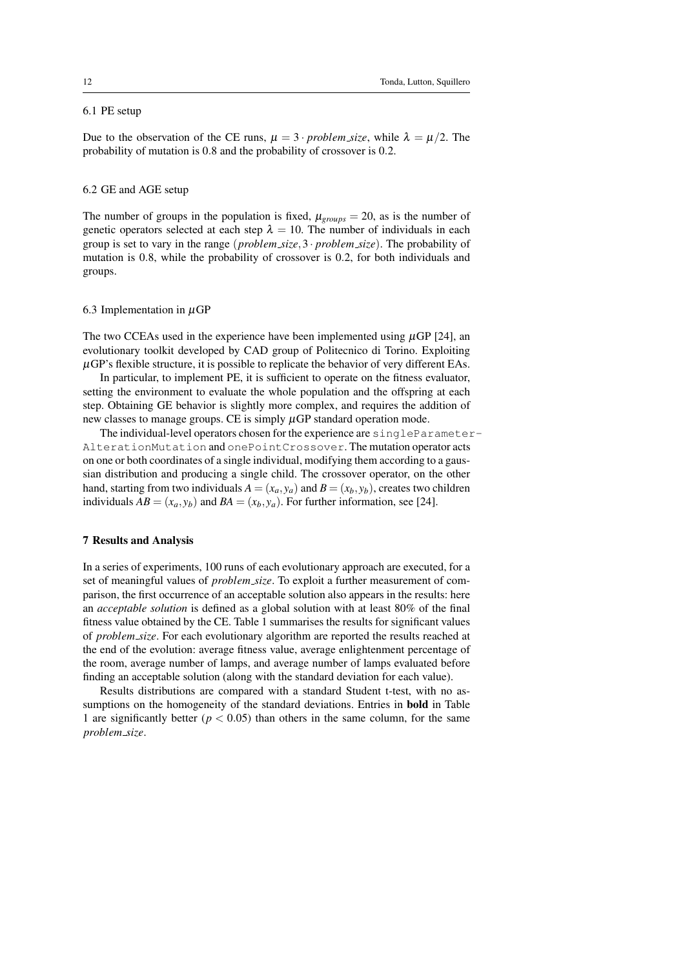# 6.1 PE setup

Due to the observation of the CE runs,  $\mu = 3$  *problem\_size*, while  $\lambda = \mu/2$ . The probability of mutation is 0.8 and the probability of crossover is 0.2.

#### 6.2 GE and AGE setup

The number of groups in the population is fixed,  $\mu_{groups} = 20$ , as is the number of genetic operators selected at each step  $\lambda = 10$ . The number of individuals in each group is set to vary in the range (*problem size*,3 · *problem size*). The probability of mutation is 0.8, while the probability of crossover is 0.2, for both individuals and groups.

### 6.3 Implementation in  $\mu$ GP

The two CCEAs used in the experience have been implemented using  $\mu$ GP [24], an evolutionary toolkit developed by CAD group of Politecnico di Torino. Exploiting  $\mu$ GP's flexible structure, it is possible to replicate the behavior of very different EAs.

In particular, to implement PE, it is sufficient to operate on the fitness evaluator, setting the environment to evaluate the whole population and the offspring at each step. Obtaining GE behavior is slightly more complex, and requires the addition of new classes to manage groups. CE is simply  $\mu$ GP standard operation mode.

The individual-level operators chosen for the experience are singleParameter-AlterationMutation and onePointCrossover. The mutation operator acts on one or both coordinates of a single individual, modifying them according to a gaussian distribution and producing a single child. The crossover operator, on the other hand, starting from two individuals  $A = (x_a, y_a)$  and  $B = (x_b, y_b)$ , creates two children individuals  $AB = (x_a, y_b)$  and  $BA = (x_b, y_a)$ . For further information, see [24].

#### 7 Results and Analysis

In a series of experiments, 100 runs of each evolutionary approach are executed, for a set of meaningful values of *problem size*. To exploit a further measurement of comparison, the first occurrence of an acceptable solution also appears in the results: here an *acceptable solution* is defined as a global solution with at least 80% of the final fitness value obtained by the CE. Table 1 summarises the results for significant values of *problem size*. For each evolutionary algorithm are reported the results reached at the end of the evolution: average fitness value, average enlightenment percentage of the room, average number of lamps, and average number of lamps evaluated before finding an acceptable solution (along with the standard deviation for each value).

Results distributions are compared with a standard Student t-test, with no assumptions on the homogeneity of the standard deviations. Entries in bold in Table 1 are significantly better  $(p < 0.05)$  than others in the same column, for the same *problem size*.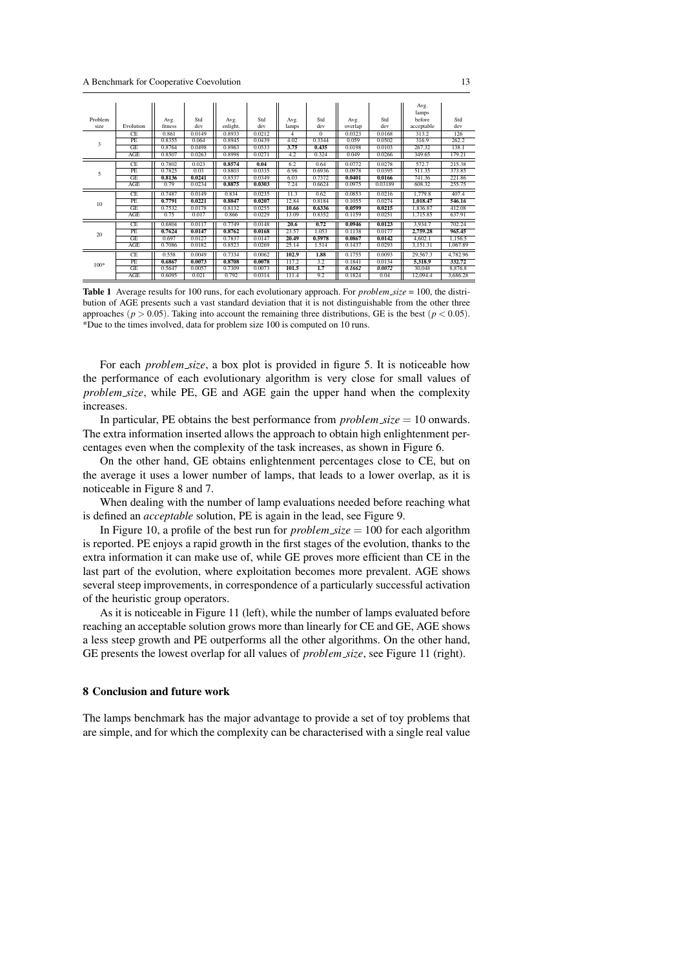|         |                |         |        |          |        |       |          |         |         | Avg.<br>lamps |          |
|---------|----------------|---------|--------|----------|--------|-------|----------|---------|---------|---------------|----------|
| Problem |                | Avg.    | Std    | Avg.     | Std    | Avg.  | Std      | Avg.    | Std     | before        | Std      |
| size    | Evolution      | fitness | dev    | enlight. | dev    | lamps | dev      | overlap | dev     | acceptable    | dev      |
| 3       | C <sub>E</sub> | 0.861   | 0.0149 | 0.8933   | 0.0212 | 4     | $\Omega$ | 0.0323  | 0.0168  | 313.2         | 126      |
|         | PF.            | 0.8355  | 0.064  | 0.8945   | 0.0439 | 4.02  | 0.3344   | 0.059   | 0.0502  | 316.9         | 262.2    |
|         | GE             | 0.8764  | 0.0498 | 0.8963   | 0.0533 | 3.75  | 0.435    | 0.0198  | 0.0103  | 267.32        | 138.1    |
|         | AGE            | 0.8507  | 0.0263 | 0.8998   | 0.0271 | 4.2   | 0.324    | 0.049   | 0.0266  | 349.65        | 179.21   |
| 5       | CE             | 0.7802  | 0.023  | 0.8574   | 0.04   | 6.2   | 0.64     | 0.0772  | 0.0278  | 572.7         | 215.38   |
|         | PE             | 0.7825  | 0.03   | 0.8803   | 0.0335 | 6.96  | 0.6936   | 0.0978  | 0.0395  | 511.35        | 373.85   |
|         | GE             | 0.8136  | 0.0241 | 0.8537   | 0.0349 | 6.03  | 0.7372   | 0.0401  | 0.0166  | 741.36        | 221.86   |
|         | AGE            | 0.79    | 0.0234 | 0.8875   | 0.0303 | 7.24  | 0.6624   | 0.0975  | 0.03189 | 608.32        | 255.75   |
| 10      | <b>CE</b>      | 0.7487  | 0.0149 | 0.834    | 0.0235 | 11.3  | 0.62     | 0.0853  | 0.0216  | 1,779.8       | 407.4    |
|         | PF.            | 0.7791  | 0.0221 | 0.8847   | 0.0207 | 12.84 | 0.8184   | 0.1055  | 0.0274  | 1.018.47      | 546.16   |
|         | <b>GE</b>      | 0.7532  | 0.0178 | 0.8132   | 0.0255 | 10.66 | 0.6336   | 0.0599  | 0.0215  | 1,836.87      | 412.08   |
|         | <b>AGE</b>     | 0.75    | 0.017  | 0.866    | 0.0229 | 13.09 | 0.8352   | 0.1159  | 0.0251  | 1,715.85      | 637.91   |
| 20      | <b>CE</b>      | 0.6804  | 0.0117 | 0.7749   | 0.0148 | 20.6  | 0.72     | 0.0946  | 0.0123  | 3.934.7       | 702.24   |
|         | PE             | 0.7624  | 0.0147 | 0.8762   | 0.0168 | 23.57 | 1.053    | 0.1138  | 0.0177  | 2,759.28      | 965.45   |
|         | GE             | 0.697   | 0.0127 | 0.7837   | 0.0147 | 20.49 | 0.5978   | 0.0867  | 0.0142  | 4.602.1       | 1.156.5  |
|         | AGE            | 0.7086  | 0.0182 | 0.8523   | 0.0269 | 25.14 | 1.514    | 0.1437  | 0.0293  | 3,151.31      | 1,067.89 |
| $100*$  | CE             | 0.558   | 0.0049 | 0.7334   | 0.0062 | 102.9 | 1.88     | 0.1755  | 0.0093  | 29,567.3      | 4,782.96 |
|         | PE             | 0.6867  | 0.0073 | 0.8708   | 0.0078 | 117.2 | 3.2      | 0.1841  | 0.0134  | 5,318.9       | 332.72   |
|         | <b>GE</b>      | 0.5647  | 0.0057 | 0.7309   | 0.0073 | 101.5 | 1.7      | 0.1662  | 0.0072  | 30,048        | 8,876.8  |
|         | AGE            | 0.6095  | 0.021  | 0.792    | 0.0314 | 111.4 | 9.2      | 0.1824  | 0.04    | 12,094.4      | 3.686.28 |

Table 1 Average results for 100 runs, for each evolutionary approach. For *problem size* = 100, the distribution of AGE presents such a vast standard deviation that it is not distinguishable from the other three approaches ( $p > 0.05$ ). Taking into account the remaining three distributions, GE is the best ( $p < 0.05$ ). \*Due to the times involved, data for problem size 100 is computed on 10 runs.

For each *problem\_size*, a box plot is provided in figure 5. It is noticeable how the performance of each evolutionary algorithm is very close for small values of *problem size*, while PE, GE and AGE gain the upper hand when the complexity increases.

In particular, PE obtains the best performance from  $problem\_size = 10$  onwards. The extra information inserted allows the approach to obtain high enlightenment percentages even when the complexity of the task increases, as shown in Figure 6.

On the other hand, GE obtains enlightenment percentages close to CE, but on the average it uses a lower number of lamps, that leads to a lower overlap, as it is noticeable in Figure 8 and 7.

When dealing with the number of lamp evaluations needed before reaching what is defined an *acceptable* solution, PE is again in the lead, see Figure 9.

In Figure 10, a profile of the best run for  $problem\_size = 100$  for each algorithm is reported. PE enjoys a rapid growth in the first stages of the evolution, thanks to the extra information it can make use of, while GE proves more efficient than CE in the last part of the evolution, where exploitation becomes more prevalent. AGE shows several steep improvements, in correspondence of a particularly successful activation of the heuristic group operators.

As it is noticeable in Figure 11 (left), while the number of lamps evaluated before reaching an acceptable solution grows more than linearly for CE and GE, AGE shows a less steep growth and PE outperforms all the other algorithms. On the other hand, GE presents the lowest overlap for all values of *problem size*, see Figure 11 (right).

#### 8 Conclusion and future work

The lamps benchmark has the major advantage to provide a set of toy problems that are simple, and for which the complexity can be characterised with a single real value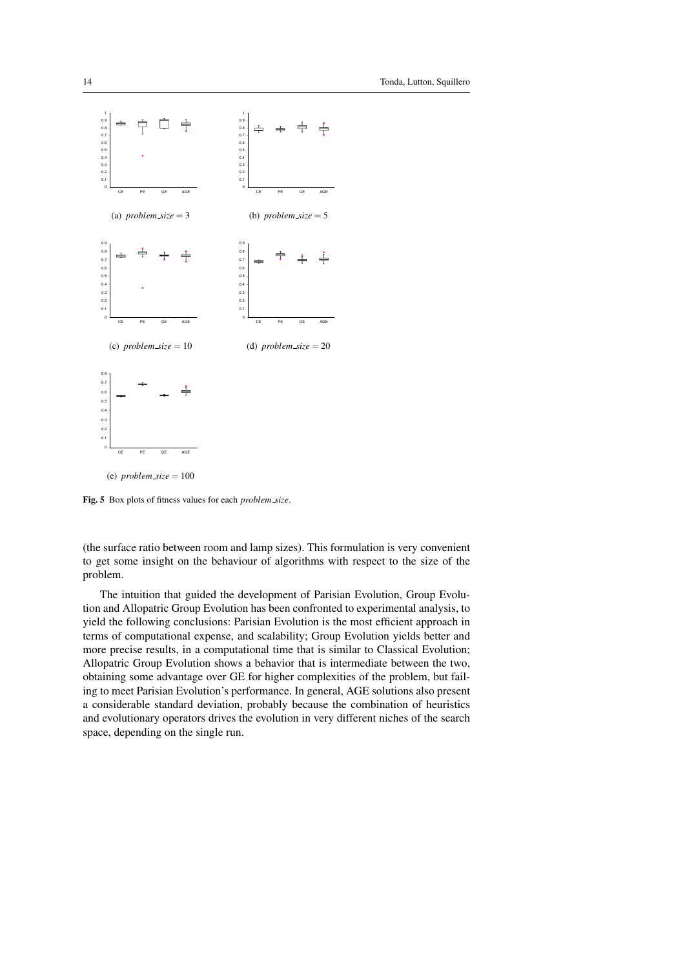

Fig. 5 Box plots of fitness values for each *problem size*.

(the surface ratio between room and lamp sizes). This formulation is very convenient to get some insight on the behaviour of algorithms with respect to the size of the problem.

The intuition that guided the development of Parisian Evolution, Group Evolution and Allopatric Group Evolution has been confronted to experimental analysis, to yield the following conclusions: Parisian Evolution is the most efficient approach in terms of computational expense, and scalability; Group Evolution yields better and more precise results, in a computational time that is similar to Classical Evolution; Allopatric Group Evolution shows a behavior that is intermediate between the two, obtaining some advantage over GE for higher complexities of the problem, but failing to meet Parisian Evolution's performance. In general, AGE solutions also present a considerable standard deviation, probably because the combination of heuristics and evolutionary operators drives the evolution in very different niches of the search space, depending on the single run.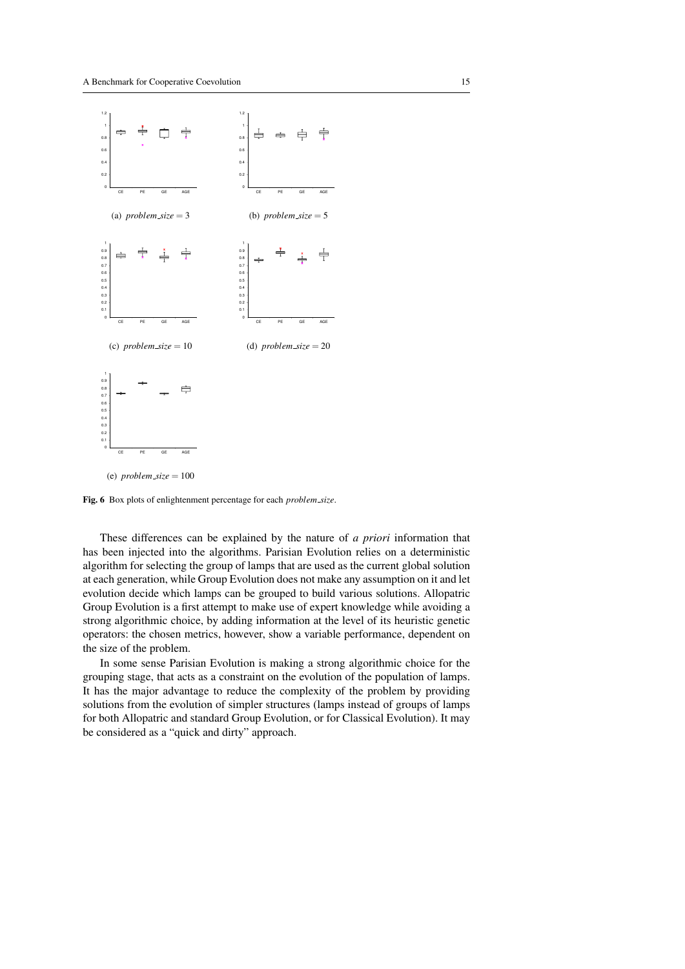

Fig. 6 Box plots of enlightenment percentage for each *problem size*.

These differences can be explained by the nature of *a priori* information that has been injected into the algorithms. Parisian Evolution relies on a deterministic algorithm for selecting the group of lamps that are used as the current global solution at each generation, while Group Evolution does not make any assumption on it and let evolution decide which lamps can be grouped to build various solutions. Allopatric Group Evolution is a first attempt to make use of expert knowledge while avoiding a strong algorithmic choice, by adding information at the level of its heuristic genetic operators: the chosen metrics, however, show a variable performance, dependent on the size of the problem.

In some sense Parisian Evolution is making a strong algorithmic choice for the grouping stage, that acts as a constraint on the evolution of the population of lamps. It has the major advantage to reduce the complexity of the problem by providing solutions from the evolution of simpler structures (lamps instead of groups of lamps for both Allopatric and standard Group Evolution, or for Classical Evolution). It may be considered as a "quick and dirty" approach.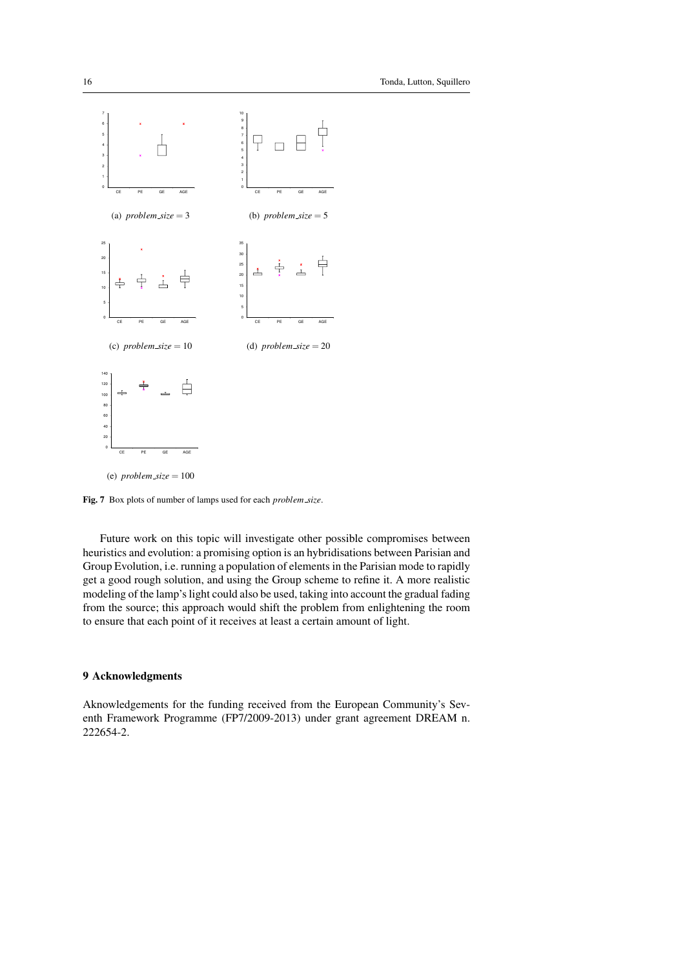

Fig. 7 Box plots of number of lamps used for each *problem size*.

Future work on this topic will investigate other possible compromises between heuristics and evolution: a promising option is an hybridisations between Parisian and Group Evolution, i.e. running a population of elements in the Parisian mode to rapidly get a good rough solution, and using the Group scheme to refine it. A more realistic modeling of the lamp's light could also be used, taking into account the gradual fading from the source; this approach would shift the problem from enlightening the room to ensure that each point of it receives at least a certain amount of light.

# 9 Acknowledgments

Aknowledgements for the funding received from the European Community's Seventh Framework Programme (FP7/2009-2013) under grant agreement DREAM n. 222654-2.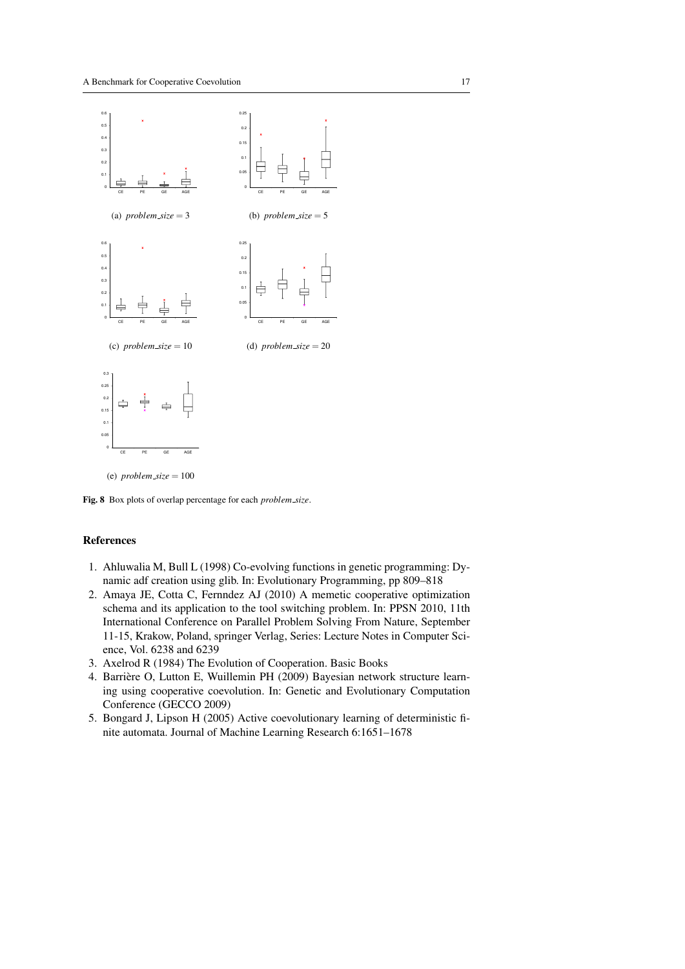

Fig. 8 Box plots of overlap percentage for each *problem size*.

# References

- 1. Ahluwalia M, Bull L (1998) Co-evolving functions in genetic programming: Dynamic adf creation using glib. In: Evolutionary Programming, pp 809–818
- 2. Amaya JE, Cotta C, Fernndez AJ (2010) A memetic cooperative optimization schema and its application to the tool switching problem. In: PPSN 2010, 11th International Conference on Parallel Problem Solving From Nature, September 11-15, Krakow, Poland, springer Verlag, Series: Lecture Notes in Computer Science, Vol. 6238 and 6239
- 3. Axelrod R (1984) The Evolution of Cooperation. Basic Books
- 4. Barrière O, Lutton E, Wuillemin PH (2009) Bayesian network structure learning using cooperative coevolution. In: Genetic and Evolutionary Computation Conference (GECCO 2009)
- 5. Bongard J, Lipson H (2005) Active coevolutionary learning of deterministic finite automata. Journal of Machine Learning Research 6:1651–1678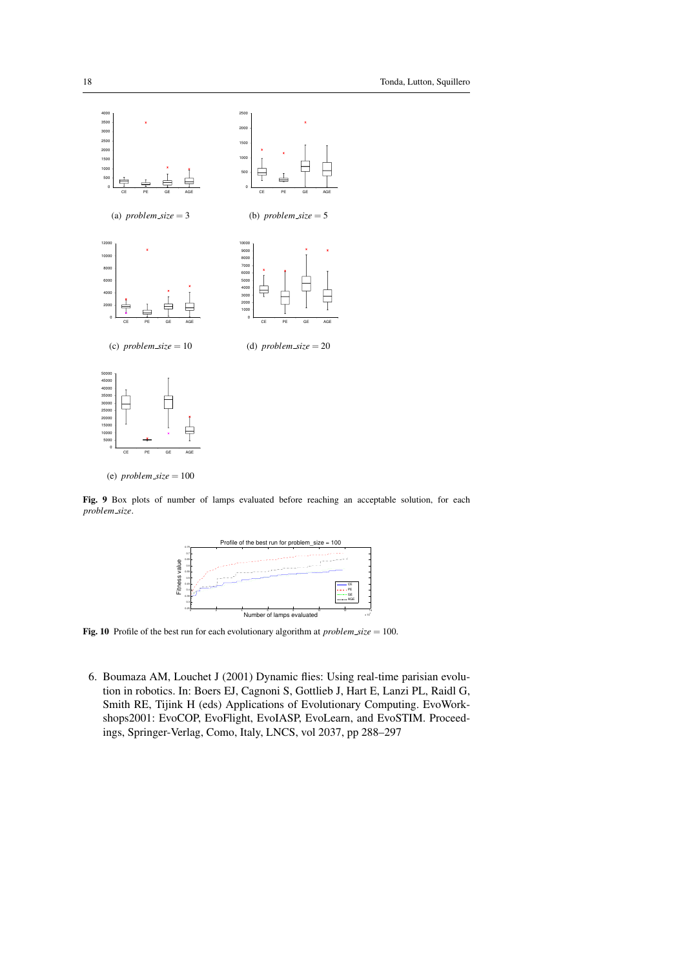

Fig. 9 Box plots of number of lamps evaluated before reaching an acceptable solution, for each *problem size*.



Fig. 10 Profile of the best run for each evolutionary algorithm at *problem size* = 100.

6. Boumaza AM, Louchet J (2001) Dynamic flies: Using real-time parisian evolution in robotics. In: Boers EJ, Cagnoni S, Gottlieb J, Hart E, Lanzi PL, Raidl G, Smith RE, Tijink H (eds) Applications of Evolutionary Computing. EvoWorkshops2001: EvoCOP, EvoFlight, EvoIASP, EvoLearn, and EvoSTIM. Proceedings, Springer-Verlag, Como, Italy, LNCS, vol 2037, pp 288–297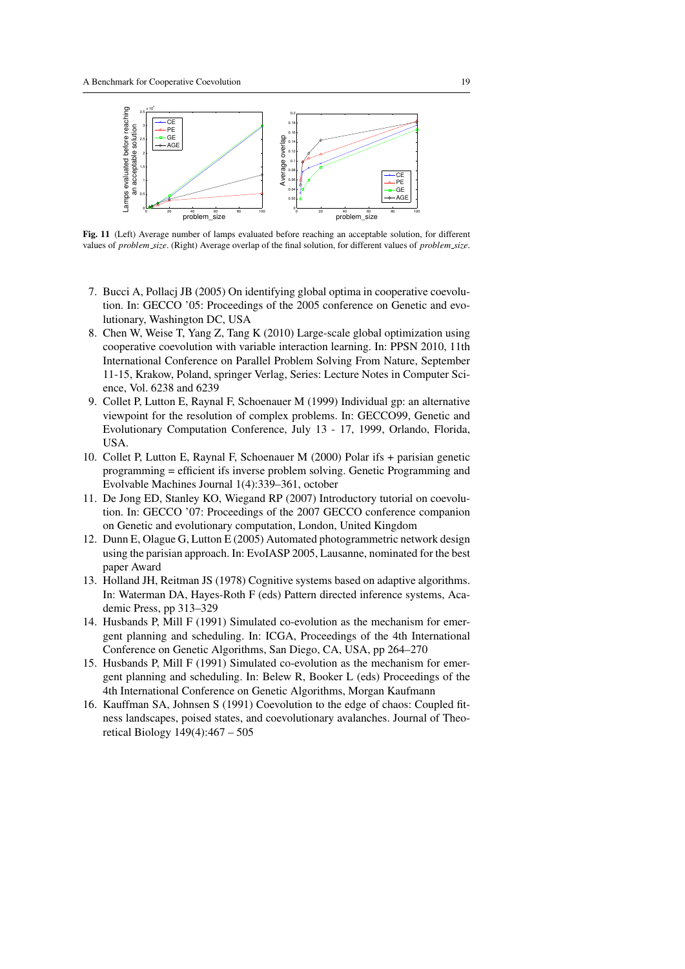

Fig. 11 (Left) Average number of lamps evaluated before reaching an acceptable solution, for different values of *problem size*. (Right) Average overlap of the final solution, for different values of *problem size*.

- 7. Bucci A, Pollacj JB (2005) On identifying global optima in cooperative coevolution. In: GECCO '05: Proceedings of the 2005 conference on Genetic and evolutionary, Washington DC, USA
- 8. Chen W, Weise T, Yang Z, Tang K (2010) Large-scale global optimization using cooperative coevolution with variable interaction learning. In: PPSN 2010, 11th International Conference on Parallel Problem Solving From Nature, September 11-15, Krakow, Poland, springer Verlag, Series: Lecture Notes in Computer Science, Vol. 6238 and 6239
- 9. Collet P, Lutton E, Raynal F, Schoenauer M (1999) Individual gp: an alternative viewpoint for the resolution of complex problems. In: GECCO99, Genetic and Evolutionary Computation Conference, July 13 - 17, 1999, Orlando, Florida, USA.
- 10. Collet P, Lutton E, Raynal F, Schoenauer M (2000) Polar ifs + parisian genetic programming = efficient ifs inverse problem solving. Genetic Programming and Evolvable Machines Journal 1(4):339–361, october
- 11. De Jong ED, Stanley KO, Wiegand RP (2007) Introductory tutorial on coevolution. In: GECCO '07: Proceedings of the 2007 GECCO conference companion on Genetic and evolutionary computation, London, United Kingdom
- 12. Dunn E, Olague G, Lutton E (2005) Automated photogrammetric network design using the parisian approach. In: EvoIASP 2005, Lausanne, nominated for the best paper Award
- 13. Holland JH, Reitman JS (1978) Cognitive systems based on adaptive algorithms. In: Waterman DA, Hayes-Roth F (eds) Pattern directed inference systems, Academic Press, pp 313–329
- 14. Husbands P, Mill F (1991) Simulated co-evolution as the mechanism for emergent planning and scheduling. In: ICGA, Proceedings of the 4th International Conference on Genetic Algorithms, San Diego, CA, USA, pp 264–270
- 15. Husbands P, Mill F (1991) Simulated co-evolution as the mechanism for emergent planning and scheduling. In: Belew R, Booker L (eds) Proceedings of the 4th International Conference on Genetic Algorithms, Morgan Kaufmann
- 16. Kauffman SA, Johnsen S (1991) Coevolution to the edge of chaos: Coupled fitness landscapes, poised states, and coevolutionary avalanches. Journal of Theoretical Biology 149(4):467 – 505